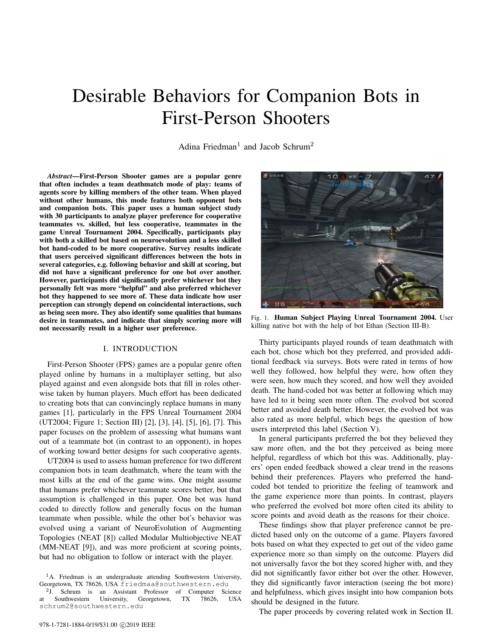# Desirable Behaviors for Companion Bots in First-Person Shooters

Adina Friedman<sup>1</sup> and Jacob Schrum<sup>2</sup>

*Abstract*—First-Person Shooter games are a popular genre that often includes a team deathmatch mode of play: teams of agents score by killing members of the other team. When played without other humans, this mode features both opponent bots and companion bots. This paper uses a human subject study with 30 participants to analyze player preference for cooperative teammates vs. skilled, but less cooperative, teammates in the game Unreal Tournament 2004. Specifically, participants play with both a skilled bot based on neuroevolution and a less skilled bot hand-coded to be more cooperative. Survey results indicate that users perceived significant differences between the bots in several categories, e.g. following behavior and skill at scoring, but did not have a significant preference for one bot over another. However, participants did significantly prefer whichever bot they personally felt was more "helpful" and also preferred whichever bot they happened to see more of. These data indicate how user perception can strongly depend on coincidental interactions, such as being seen more. They also identify some qualities that humans desire in teammates, and indicate that simply scoring more will not necessarily result in a higher user preference.

# I. INTRODUCTION

First-Person Shooter (FPS) games are a popular genre often played online by humans in a multiplayer setting, but also played against and even alongside bots that fill in roles otherwise taken by human players. Much effort has been dedicated to creating bots that can convincingly replace humans in many games [1], particularly in the FPS Unreal Tournament 2004 (UT2004; Figure 1; Section III) [2], [3], [4], [5], [6], [7]. This paper focuses on the problem of assessing what humans want out of a teammate bot (in contrast to an opponent), in hopes of working toward better designs for such cooperative agents.

UT2004 is used to assess human preference for two different companion bots in team deathmatch, where the team with the most kills at the end of the game wins. One might assume that humans prefer whichever teammate scores better, but that assumption is challenged in this paper. One bot was hand coded to directly follow and generally focus on the human teammate when possible, while the other bot's behavior was evolved using a variant of NeuroEvolution of Augmenting Topologies (NEAT [8]) called Modular Multiobjective NEAT (MM-NEAT [9]), and was more proficient at scoring points, but had no obligation to follow or interact with the player.



Fig. 1. Human Subject Playing Unreal Tournament 2004. User killing native bot with the help of bot Ethan (Section III-B).

Thirty participants played rounds of team deathmatch with each bot, chose which bot they preferred, and provided additional feedback via surveys. Bots were rated in terms of how well they followed, how helpful they were, how often they were seen, how much they scored, and how well they avoided death. The hand-coded bot was better at following which may have led to it being seen more often. The evolved bot scored better and avoided death better. However, the evolved bot was also rated as more helpful, which begs the question of how users interpreted this label (Section V).

In general participants preferred the bot they believed they saw more often, and the bot they perceived as being more helpful, regardless of which bot this was. Additionally, players' open ended feedback showed a clear trend in the reasons behind their preferences. Players who preferred the handcoded bot tended to prioritize the feeling of teamwork and the game experience more than points. In contrast, players who preferred the evolved bot more often cited its ability to score points and avoid death as the reasons for their choice.

These findings show that player preference cannot be predicted based only on the outcome of a game. Players favored bots based on what they expected to get out of the video game experience more so than simply on the outcome. Players did not universally favor the bot they scored higher with, and they did not significantly favor either bot over the other. However, they did significantly favor interaction (seeing the bot more) and helpfulness, which gives insight into how companion bots should be designed in the future.

The paper proceeds by covering related work in Section II.

<sup>&</sup>lt;sup>1</sup>A. Friedman is an undergraduate attending Southwestern University, Georgetown, TX 78626, USA friedmaa@southwestern.edu

<sup>2</sup> J. Schrum is an Assistant Professor of Computer Science at Southwestern University, Georgetown, TX 78626, USA schrum2@southwestern.edu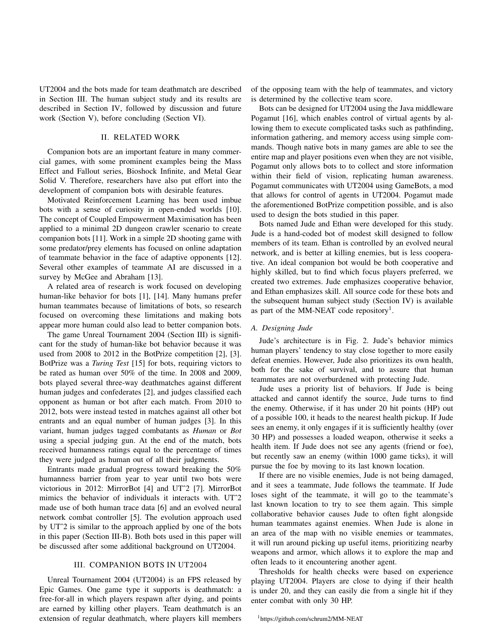UT2004 and the bots made for team deathmatch are described in Section III. The human subject study and its results are described in Section IV, followed by discussion and future work (Section V), before concluding (Section VI).

## II. RELATED WORK

Companion bots are an important feature in many commercial games, with some prominent examples being the Mass Effect and Fallout series, Bioshock Infinite, and Metal Gear Solid V. Therefore, researchers have also put effort into the development of companion bots with desirable features.

Motivated Reinforcement Learning has been used imbue bots with a sense of curiosity in open-ended worlds [10]. The concept of Coupled Empowerment Maximisation has been applied to a minimal 2D dungeon crawler scenario to create companion bots [11]. Work in a simple 2D shooting game with some predator/prey elements has focused on online adaptation of teammate behavior in the face of adaptive opponents [12]. Several other examples of teammate AI are discussed in a survey by McGee and Abraham [13].

A related area of research is work focused on developing human-like behavior for bots [1], [14]. Many humans prefer human teammates because of limitations of bots, so research focused on overcoming these limitations and making bots appear more human could also lead to better companion bots.

The game Unreal Tournament 2004 (Section III) is significant for the study of human-like bot behavior because it was used from 2008 to 2012 in the BotPrize competition [2], [3]. BotPrize was a *Turing Test* [15] for bots, requiring victors to be rated as human over 50% of the time. In 2008 and 2009, bots played several three-way deathmatches against different human judges and confederates [2], and judges classified each opponent as human or bot after each match. From 2010 to 2012, bots were instead tested in matches against all other bot entrants and an equal number of human judges [3]. In this variant, human judges tagged combatants as *Human* or *Bot* using a special judging gun. At the end of the match, bots received humanness ratings equal to the percentage of times they were judged as human out of all their judgments.

Entrants made gradual progress toward breaking the 50% humanness barrier from year to year until two bots were victorious in 2012: MirrorBot [4] and UTˆ2 [7]. MirrorBot mimics the behavior of individuals it interacts with. UT<sup>^2</sup> made use of both human trace data [6] and an evolved neural network combat controller [5]. The evolution approach used by UTˆ2 is similar to the approach applied by one of the bots in this paper (Section III-B). Both bots used in this paper will be discussed after some additional background on UT2004.

## III. COMPANION BOTS IN UT2004

Unreal Tournament 2004 (UT2004) is an FPS released by Epic Games. One game type it supports is deathmatch: a free-for-all in which players respawn after dying, and points are earned by killing other players. Team deathmatch is an extension of regular deathmatch, where players kill members of the opposing team with the help of teammates, and victory is determined by the collective team score.

Bots can be designed for UT2004 using the Java middleware Pogamut [16], which enables control of virtual agents by allowing them to execute complicated tasks such as pathfinding, information gathering, and memory access using simple commands. Though native bots in many games are able to see the entire map and player positions even when they are not visible, Pogamut only allows bots to to collect and store information within their field of vision, replicating human awareness. Pogamut communicates with UT2004 using GameBots, a mod that allows for control of agents in UT2004. Pogamut made the aforementioned BotPrize competition possible, and is also used to design the bots studied in this paper.

Bots named Jude and Ethan were developed for this study. Jude is a hand-coded bot of modest skill designed to follow members of its team. Ethan is controlled by an evolved neural network, and is better at killing enemies, but is less cooperative. An ideal companion bot would be both cooperative and highly skilled, but to find which focus players preferred, we created two extremes. Jude emphasizes cooperative behavior, and Ethan emphasizes skill. All source code for these bots and the subsequent human subject study (Section IV) is available as part of the MM-NEAT code repository<sup>1</sup>.

# *A. Designing Jude*

Jude's architecture is in Fig. 2. Jude's behavior mimics human players' tendency to stay close together to more easily defeat enemies. However, Jude also prioritizes its own health, both for the sake of survival, and to assure that human teammates are not overburdened with protecting Jude.

Jude uses a priority list of behaviors. If Jude is being attacked and cannot identify the source, Jude turns to find the enemy. Otherwise, if it has under 20 hit points (HP) out of a possible 100, it heads to the nearest health pickup. If Jude sees an enemy, it only engages if it is sufficiently healthy (over 30 HP) and possesses a loaded weapon, otherwise it seeks a health item. If Jude does not see any agents (friend or foe), but recently saw an enemy (within 1000 game ticks), it will pursue the foe by moving to its last known location.

If there are no visible enemies, Jude is not being damaged, and it sees a teammate, Jude follows the teammate. If Jude loses sight of the teammate, it will go to the teammate's last known location to try to see them again. This simple collaborative behavior causes Jude to often fight alongside human teammates against enemies. When Jude is alone in an area of the map with no visible enemies or teammates, it will run around picking up useful items, prioritizing nearby weapons and armor, which allows it to explore the map and often leads to it encountering another agent.

Thresholds for health checks were based on experience playing UT2004. Players are close to dying if their health is under 20, and they can easily die from a single hit if they enter combat with only 30 HP.

<sup>1</sup>https://github.com/schrum2/MM-NEAT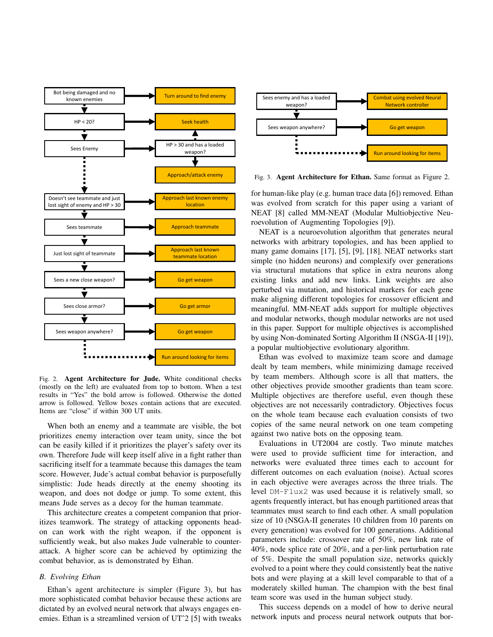

Fig. 2. Agent Architecture for Jude. White conditional checks (mostly on the left) are evaluated from top to bottom. When a test results in "Yes" the bold arrow is followed. Otherwise the dotted arrow is followed. Yellow boxes contain actions that are executed. Items are "close" if within 300 UT units.

When both an enemy and a teammate are visible, the bot prioritizes enemy interaction over team unity, since the bot can be easily killed if it prioritizes the player's safety over its own. Therefore Jude will keep itself alive in a fight rather than sacrificing itself for a teammate because this damages the team score. However, Jude's actual combat behavior is purposefully simplistic: Jude heads directly at the enemy shooting its weapon, and does not dodge or jump. To some extent, this means Jude serves as a decoy for the human teammate.

This architecture creates a competent companion that prioritizes teamwork. The strategy of attacking opponents headon can work with the right weapon, if the opponent is sufficiently weak, but also makes Jude vulnerable to counterattack. A higher score can be achieved by optimizing the combat behavior, as is demonstrated by Ethan.

#### *B. Evolving Ethan*

Ethan's agent architecture is simpler (Figure 3), but has more sophisticated combat behavior because these actions are dictated by an evolved neural network that always engages enemies. Ethan is a streamlined version of UTˆ2 [5] with tweaks



Fig. 3. Agent Architecture for Ethan. Same format as Figure 2.

for human-like play (e.g. human trace data [6]) removed. Ethan was evolved from scratch for this paper using a variant of NEAT [8] called MM-NEAT (Modular Multiobjective Neuroevolution of Augmenting Topologies [9]).

NEAT is a neuroevolution algorithm that generates neural networks with arbitrary topologies, and has been applied to many game domains [17], [5], [9], [18]. NEAT networks start simple (no hidden neurons) and complexify over generations via structural mutations that splice in extra neurons along existing links and add new links. Link weights are also perturbed via mutation, and historical markers for each gene make aligning different topologies for crossover efficient and meaningful. MM-NEAT adds support for multiple objectives and modular networks, though modular networks are not used in this paper. Support for multiple objectives is accomplished by using Non-dominated Sorting Algorithm II (NSGA-II [19]), a popular multiobjective evolutionary algorithm.

Ethan was evolved to maximize team score and damage dealt by team members, while minimizing damage received by team members. Although score is all that matters, the other objectives provide smoother gradients than team score. Multiple objectives are therefore useful, even though these objectives are not necessarily contradictory. Objectives focus on the whole team because each evaluation consists of two copies of the same neural network on one team competing against two native bots on the opposing team.

Evaluations in UT2004 are costly. Two minute matches were used to provide sufficient time for interaction, and networks were evaluated three times each to account for different outcomes on each evaluation (noise). Actual scores in each objective were averages across the three trials. The level DM-Flux2 was used because it is relatively small, so agents frequently interact, but has enough partitioned areas that teammates must search to find each other. A small population size of 10 (NSGA-II generates 10 children from 10 parents on every generation) was evolved for 100 generations. Additional parameters include: crossover rate of 50%, new link rate of 40%, node splice rate of 20%, and a per-link perturbation rate of 5%. Despite the small population size, networks quickly evolved to a point where they could consistently beat the native bots and were playing at a skill level comparable to that of a moderately skilled human. The champion with the best final team score was used in the human subject study.

This success depends on a model of how to derive neural network inputs and process neural network outputs that bor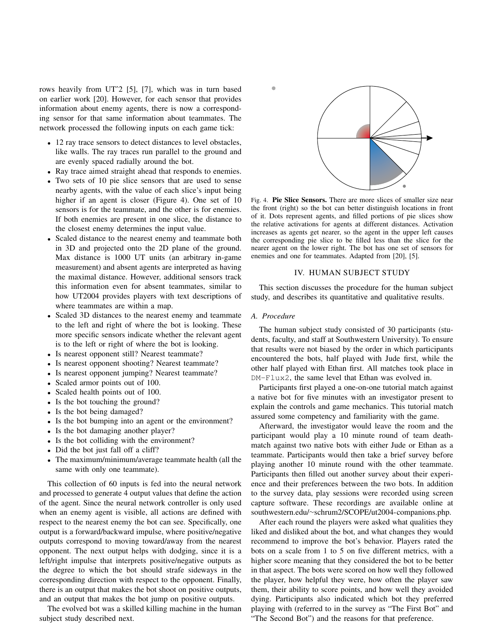rows heavily from UTˆ2 [5], [7], which was in turn based on earlier work [20]. However, for each sensor that provides information about enemy agents, there is now a corresponding sensor for that same information about teammates. The network processed the following inputs on each game tick:

- 12 ray trace sensors to detect distances to level obstacles, like walls. The ray traces run parallel to the ground and are evenly spaced radially around the bot.
- Ray trace aimed straight ahead that responds to enemies.
- Two sets of 10 pie slice sensors that are used to sense nearby agents, with the value of each slice's input being higher if an agent is closer (Figure 4). One set of 10 sensors is for the teammate, and the other is for enemies. If both enemies are present in one slice, the distance to the closest enemy determines the input value.
- Scaled distance to the nearest enemy and teammate both in 3D and projected onto the 2D plane of the ground. Max distance is 1000 UT units (an arbitrary in-game measurement) and absent agents are interpreted as having the maximal distance. However, additional sensors track this information even for absent teammates, similar to how UT2004 provides players with text descriptions of where teammates are within a map.
- Scaled 3D distances to the nearest enemy and teammate to the left and right of where the bot is looking. These more specific sensors indicate whether the relevant agent is to the left or right of where the bot is looking.
- Is nearest opponent still? Nearest teammate?
- Is nearest opponent shooting? Nearest teammate?
- Is nearest opponent jumping? Nearest teammate?
- Scaled armor points out of 100.
- Scaled health points out of 100.
- Is the bot touching the ground?
- Is the bot being damaged?
- Is the bot bumping into an agent or the environment?
- Is the bot damaging another player?
- Is the bot colliding with the environment?
- Did the bot just fall off a cliff?
- The maximum/minimum/average teammate health (all the same with only one teammate).

This collection of 60 inputs is fed into the neural network and processed to generate 4 output values that define the action of the agent. Since the neural network controller is only used when an enemy agent is visible, all actions are defined with respect to the nearest enemy the bot can see. Specifically, one output is a forward/backward impulse, where positive/negative outputs correspond to moving toward/away from the nearest opponent. The next output helps with dodging, since it is a left/right impulse that interprets positive/negative outputs as the degree to which the bot should strafe sideways in the corresponding direction with respect to the opponent. Finally, there is an output that makes the bot shoot on positive outputs, and an output that makes the bot jump on positive outputs.

The evolved bot was a skilled killing machine in the human subject study described next.



Fig. 4. Pie Slice Sensors. There are more slices of smaller size near the front (right) so the bot can better distinguish locations in front of it. Dots represent agents, and filled portions of pie slices show the relative activations for agents at different distances. Activation increases as agents get nearer, so the agent in the upper left causes the corresponding pie slice to be filled less than the slice for the nearer agent on the lower right. The bot has one set of sensors for enemies and one for teammates. Adapted from [20], [5].

# IV. HUMAN SUBJECT STUDY

This section discusses the procedure for the human subject study, and describes its quantitative and qualitative results.

#### *A. Procedure*

The human subject study consisted of 30 participants (students, faculty, and staff at Southwestern University). To ensure that results were not biased by the order in which participants encountered the bots, half played with Jude first, while the other half played with Ethan first. All matches took place in DM-Flux2, the same level that Ethan was evolved in.

Participants first played a one-on-one tutorial match against a native bot for five minutes with an investigator present to explain the controls and game mechanics. This tutorial match assured some competency and familiarity with the game.

Afterward, the investigator would leave the room and the participant would play a 10 minute round of team deathmatch against two native bots with either Jude or Ethan as a teammate. Participants would then take a brief survey before playing another 10 minute round with the other teammate. Participants then filled out another survey about their experience and their preferences between the two bots. In addition to the survey data, play sessions were recorded using screen capture software. These recordings are available online at southwestern.edu/<sup>∼</sup>schrum2/SCOPE/ut2004-companions.php.

After each round the players were asked what qualities they liked and disliked about the bot, and what changes they would recommend to improve the bot's behavior. Players rated the bots on a scale from 1 to 5 on five different metrics, with a higher score meaning that they considered the bot to be better in that aspect. The bots were scored on how well they followed the player, how helpful they were, how often the player saw them, their ability to score points, and how well they avoided dying. Participants also indicated which bot they preferred playing with (referred to in the survey as "The First Bot" and "The Second Bot") and the reasons for that preference.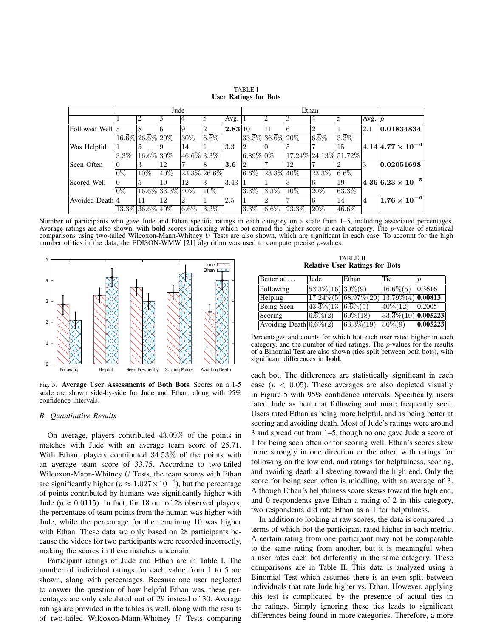| <b>TABLE I</b> |                              |  |  |  |  |  |
|----------------|------------------------------|--|--|--|--|--|
|                | <b>User Ratings for Bots</b> |  |  |  |  |  |

|                              | Jude                |                                              |                               |                                 | Ethan              |         |                    |                                 |                 |                     |                           |        |                                                  |
|------------------------------|---------------------|----------------------------------------------|-------------------------------|---------------------------------|--------------------|---------|--------------------|---------------------------------|-----------------|---------------------|---------------------------|--------|--------------------------------------------------|
|                              |                     | $^12$                                        |                               | 4                               |                    | Avg.    |                    |                                 | 13              | 4                   |                           | Avg. p |                                                  |
| Followed Well   5            |                     | 18                                           | 6                             | 9                               | $\overline{2}$     | 2.83 10 |                    | 11                              | 16              | $\overline{2}$      |                           | 2.1    | 0.01834834                                       |
|                              |                     | $16.\overline{6}\%$ 26. $\overline{6}\%$ 20% |                               | 30%                             | $6.\overline{6}\%$ |         |                    | $33.\overline{3}\%$ 36.6\% 20\% |                 | $6.\overline{6}\%$  | $3.\overline{3}\%$        |        |                                                  |
| Was Helpful                  |                     | 5                                            | 19                            | 14                              |                    | 3.3     | $^{2}$             | 10                              | 15              |                     | 15                        |        | $ 4.14 4.77\times 10^{-4}$                       |
|                              | $ 3.\overline{3}\%$ | $16.\overline{6}\% 30\%$                     |                               | $\overline{46.6\%}\sqrt{3.3\%}$ |                    |         | $6.89\%$ 0\%       |                                 |                 |                     | $17.24\%$ 24.13% 51.72%   |        |                                                  |
| Seen Often                   | $\overline{0}$      | 3                                            | 12                            |                                 |                    | 3.6     | $\overline{2}$     |                                 | 12              |                     | $^{2}$                    | 3      | 0.02051698                                       |
|                              | $0\%$               | 10%                                          | 40\%                          | $\sqrt{23.3\% \, 26.6\%}$       |                    |         | $\overline{6.6\%}$ | $\sqrt{23.3\%}\sqrt{40\%}$      |                 | $23.\overline{3}\%$ | $6.\overline{6}\%$        |        |                                                  |
| Scored Well                  | $\overline{0}$      | 5                                            | 10                            | 12                              | 3                  | 3.43    |                    |                                 | 13              | 6                   | 19                        |        | $\overline{4.36}$ 6.23 $\times$ 10 <sup>-5</sup> |
|                              | $0\%$               |                                              | $16.\overline{6}\%$ 33.3% 40% |                                 | 10%                |         | $3.\overline{3}\%$ | $3.\overline{3}\%$              | 10%             | 20%                 | $\overline{63.3\%}$       |        |                                                  |
| Avoided Death <sup>[4]</sup> |                     | 11                                           | 12                            | $^{\circ}2$                     |                    | 2.5     |                    | 12                              |                 | 6                   | 14                        | 4      | $1.76\times10^{-6}$                              |
|                              |                     | $13.\overline{3}\%$ 36.6\% 40\%              |                               | $ 6.\overline{6}\% $            | $3.\overline{3}\%$ |         | $3.\overline{3}\%$ | $6.\overline{6}\%$              | $\sqrt{23.3\%}$ | $20\%$              | $\ket{46.\overline{6}\%}$ |        |                                                  |

Number of participants who gave Jude and Ethan specific ratings in each category on a scale from 1–5, including associated percentages. Average ratings are also shown, with **bold** scores indicating which bot earned the higher score in each category. The *p*-values of statistical comparisons using two-tailed Wilcoxon-Mann-Whitney  $U$  Tests are also shown, which are significant in each case. To account for the high number of ties in the data, the EDISON-WMW  $[21]$  algorithm was used to compute precise  $p$ -values.



Fig. 5. Average User Assessments of Both Bots. Scores on a 1-5 scale are shown side-by-side for Jude and Ethan, along with 95% confidence intervals.

#### *B. Quantitative Results*

On average, players contributed 43.09% of the points in matches with Jude with an average team score of 25.71. With Ethan, players contributed 34.53% of the points with an average team score of 33.75. According to two-tailed Wilcoxon-Mann-Whitney  $U$  Tests, the team scores with Ethan are significantly higher ( $p \approx 1.027 \times 10^{-4}$ ), but the percentage of points contributed by humans was significantly higher with Jude ( $p \approx 0.0115$ ). In fact, for 18 out of 28 observed players, the percentage of team points from the human was higher with Jude, while the percentage for the remaining 10 was higher with Ethan. These data are only based on 28 participants because the videos for two participants were recorded incorrectly, making the scores in these matches uncertain.

Participant ratings of Jude and Ethan are in Table I. The number of individual ratings for each value from 1 to 5 are shown, along with percentages. Because one user neglected to answer the question of how helpful Ethan was, these percentages are only calculated out of 29 instead of 30. Average ratings are provided in the tables as well, along with the results of two-tailed Wilcoxon-Mann-Whitney  $U$  Tests comparing

TABLE II Relative User Ratings for Bots

| Better at                             | Jude                                                    | Ethan                                                                                 | <b>Tie</b>                        | $\boldsymbol{p}$ |
|---------------------------------------|---------------------------------------------------------|---------------------------------------------------------------------------------------|-----------------------------------|------------------|
| Following                             | $\sqrt{53.3\%(16)\left 30\%(9)\right }$                 |                                                                                       | $16.\overline{6}\%(5)$            | 0.3616           |
| Helping                               |                                                         | $\left  \frac{17.24\%}{5} \right  68.97\%}{(20) \left  13.79\%}{(4) \right  0.00813}$ |                                   |                  |
| Being Seen                            | $\left 43.\overline{3\%}(13)\right 6.\overline{6\%}(5)$ |                                                                                       | $ 40\% (12)   0.2005$             |                  |
| Scoring                               | $6.\overline{6}\%(2)$                                   | $\sqrt{60\%}(18)$                                                                     | $33.\overline{3}\% (10) 0.005223$ |                  |
| Avoiding Death $6.\overline{6}\% (2)$ |                                                         | $\sqrt{63.3\% (19)}$                                                                  | $ 30\%(9) $                       | 0.005223         |

Percentages and counts for which bot each user rated higher in each category, and the number of tied ratings. The p-values for the results of a Binomial Test are also shown (ties split between both bots), with significant differences in bold.

each bot. The differences are statistically significant in each case  $(p < 0.05)$ . These averages are also depicted visually in Figure 5 with 95% confidence intervals. Specifically, users rated Jude as better at following and more frequently seen. Users rated Ethan as being more helpful, and as being better at scoring and avoiding death. Most of Jude's ratings were around 3 and spread out from 1–5, though no one gave Jude a score of 1 for being seen often or for scoring well. Ethan's scores skew more strongly in one direction or the other, with ratings for following on the low end, and ratings for helpfulness, scoring, and avoiding death all skewing toward the high end. Only the score for being seen often is middling, with an average of 3. Although Ethan's helpfulness score skews toward the high end, and 0 respondents gave Ethan a rating of 2 in this category, two respondents did rate Ethan as a 1 for helpfulness.

In addition to looking at raw scores, the data is compared in terms of which bot the participant rated higher in each metric. A certain rating from one participant may not be comparable to the same rating from another, but it is meaningful when a user rates each bot differently in the same category. These comparisons are in Table II. This data is analyzed using a Binomial Test which assumes there is an even split between individuals that rate Jude higher vs. Ethan. However, applying this test is complicated by the presence of actual ties in the ratings. Simply ignoring these ties leads to significant differences being found in more categories. Therefore, a more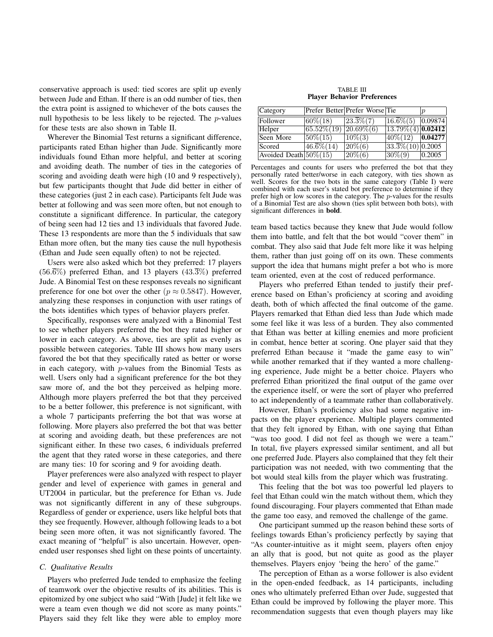conservative approach is used: tied scores are split up evenly between Jude and Ethan. If there is an odd number of ties, then the extra point is assigned to whichever of the bots causes the null hypothesis to be less likely to be rejected. The  $p$ -values for these tests are also shown in Table II.

Wherever the Binomial Test returns a significant difference, participants rated Ethan higher than Jude. Significantly more individuals found Ethan more helpful, and better at scoring and avoiding death. The number of ties in the categories of scoring and avoiding death were high (10 and 9 respectively), but few participants thought that Jude did better in either of these categories (just 2 in each case). Participants felt Jude was better at following and was seen more often, but not enough to constitute a significant difference. In particular, the category of being seen had 12 ties and 13 individuals that favored Jude. These 13 respondents are more than the 5 individuals that saw Ethan more often, but the many ties cause the null hypothesis (Ethan and Jude seen equally often) to not be rejected.

Users were also asked which bot they preferred: 17 players  $(56.\overline{6}\%)$  preferred Ethan, and 13 players  $(43.\overline{3}\%)$  preferred Jude. A Binomial Test on these responses reveals no significant preference for one bot over the other ( $p \approx 0.5847$ ). However, analyzing these responses in conjunction with user ratings of the bots identifies which types of behavior players prefer.

Specifically, responses were analyzed with a Binomial Test to see whether players preferred the bot they rated higher or lower in each category. As above, ties are split as evenly as possible between categories. Table III shows how many users favored the bot that they specifically rated as better or worse in each category, with p-values from the Binomial Tests as well. Users only had a significant preference for the bot they saw more of, and the bot they perceived as helping more. Although more players preferred the bot that they perceived to be a better follower, this preference is not significant, with a whole 7 participants preferring the bot that was worse at following. More players also preferred the bot that was better at scoring and avoiding death, but these preferences are not significant either. In these two cases, 6 individuals preferred the agent that they rated worse in these categories, and there are many ties: 10 for scoring and 9 for avoiding death.

Player preferences were also analyzed with respect to player gender and level of experience with games in general and UT2004 in particular, but the preference for Ethan vs. Jude was not significantly different in any of these subgroups. Regardless of gender or experience, users like helpful bots that they see frequently. However, although following leads to a bot being seen more often, it was not significantly favored. The exact meaning of "helpful" is also uncertain. However, openended user responses shed light on these points of uncertainty.

# *C. Qualitative Results*

Players who preferred Jude tended to emphasize the feeling of teamwork over the objective results of its abilities. This is epitomized by one subject who said "With [Jude] it felt like we were a team even though we did not score as many points." Players said they felt like they were able to employ more

TABLE III Player Behavior Preferences

| Category                  |                          | Prefer Better Prefer Worse Tie |                                                | n      |
|---------------------------|--------------------------|--------------------------------|------------------------------------------------|--------|
| Follower                  | $60\% (18)$              | $\sqrt{23.3}\%$ (7)            | $ 16.\overline{6}\%(5) 0.09874 $               |        |
| Helper                    | $65.52\%(19)$            | $ 20.69\%(6) $                 | $\overline{13.79\% (4) \,   \mathbf{0.02412}}$ |        |
| Seen More                 | $50\% (15)$              | $10\%$ (3)                     | $ 40\% \overline{(12)} $ 0.04277               |        |
| Scored                    | $46.\overline{6}\% (14)$ | $20\%$ (6)                     | $33.\overline{3}\% (10) 0.2005$                |        |
| Avoided Death $50\% (15)$ |                          | $20\%$ <sup>(6)</sup>          | $ 30\%(9) $                                    | 0.2005 |

Percentages and counts for users who preferred the bot that they personally rated better/worse in each category, with ties shown as well. Scores for the two bots in the same category (Table I) were combined with each user's stated bot preference to determine if they prefer high or low scores in the category. The p-values for the results of a Binomial Test are also shown (ties split between both bots), with significant differences in bold.

team based tactics because they knew that Jude would follow them into battle, and felt that the bot would "cover them" in combat. They also said that Jude felt more like it was helping them, rather than just going off on its own. These comments support the idea that humans might prefer a bot who is more team oriented, even at the cost of reduced performance.

Players who preferred Ethan tended to justify their preference based on Ethan's proficiency at scoring and avoiding death, both of which affected the final outcome of the game. Players remarked that Ethan died less than Jude which made some feel like it was less of a burden. They also commented that Ethan was better at killing enemies and more proficient in combat, hence better at scoring. One player said that they preferred Ethan because it "made the game easy to win" while another remarked that if they wanted a more challenging experience, Jude might be a better choice. Players who preferred Ethan prioritized the final output of the game over the experience itself, or were the sort of player who preferred to act independently of a teammate rather than collaboratively.

However, Ethan's proficiency also had some negative impacts on the player experience. Multiple players commented that they felt ignored by Ethan, with one saying that Ethan "was too good. I did not feel as though we were a team." In total, five players expressed similar sentiment, and all but one preferred Jude. Players also complained that they felt their participation was not needed, with two commenting that the bot would steal kills from the player which was frustrating.

This feeling that the bot was too powerful led players to feel that Ethan could win the match without them, which they found discouraging. Four players commented that Ethan made the game too easy, and removed the challenge of the game.

One participant summed up the reason behind these sorts of feelings towards Ethan's proficiency perfectly by saying that "As counter-intuitive as it might seem, players often enjoy an ally that is good, but not quite as good as the player themselves. Players enjoy 'being the hero' of the game."

The perception of Ethan as a worse follower is also evident in the open-ended feedback, as 14 participants, including ones who ultimately preferred Ethan over Jude, suggested that Ethan could be improved by following the player more. This recommendation suggests that even though players may like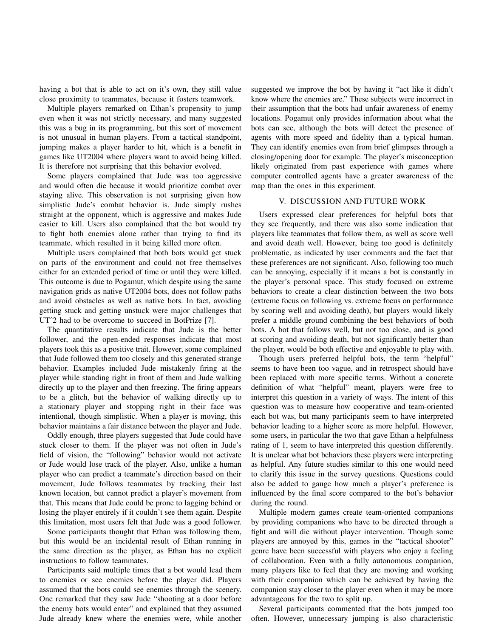having a bot that is able to act on it's own, they still value close proximity to teammates, because it fosters teamwork.

Multiple players remarked on Ethan's propensity to jump even when it was not strictly necessary, and many suggested this was a bug in its programming, but this sort of movement is not unusual in human players. From a tactical standpoint, jumping makes a player harder to hit, which is a benefit in games like UT2004 where players want to avoid being killed. It is therefore not surprising that this behavior evolved.

Some players complained that Jude was too aggressive and would often die because it would prioritize combat over staying alive. This observation is not surprising given how simplistic Jude's combat behavior is. Jude simply rushes straight at the opponent, which is aggressive and makes Jude easier to kill. Users also complained that the bot would try to fight both enemies alone rather than trying to find its teammate, which resulted in it being killed more often.

Multiple users complained that both bots would get stuck on parts of the environment and could not free themselves either for an extended period of time or until they were killed. This outcome is due to Pogamut, which despite using the same navigation grids as native UT2004 bots, does not follow paths and avoid obstacles as well as native bots. In fact, avoiding getting stuck and getting unstuck were major challenges that UT<sup> $\sim$ </sup>2 had to be overcome to succeed in BotPrize [7].

The quantitative results indicate that Jude is the better follower, and the open-ended responses indicate that most players took this as a positive trait. However, some complained that Jude followed them too closely and this generated strange behavior. Examples included Jude mistakenly firing at the player while standing right in front of them and Jude walking directly up to the player and then freezing. The firing appears to be a glitch, but the behavior of walking directly up to a stationary player and stopping right in their face was intentional, though simplistic. When a player is moving, this behavior maintains a fair distance between the player and Jude.

Oddly enough, three players suggested that Jude could have stuck closer to them. If the player was not often in Jude's field of vision, the "following" behavior would not activate or Jude would lose track of the player. Also, unlike a human player who can predict a teammate's direction based on their movement, Jude follows teammates by tracking their last known location, but cannot predict a player's movement from that. This means that Jude could be prone to lagging behind or losing the player entirely if it couldn't see them again. Despite this limitation, most users felt that Jude was a good follower.

Some participants thought that Ethan was following them, but this would be an incidental result of Ethan running in the same direction as the player, as Ethan has no explicit instructions to follow teammates.

Participants said multiple times that a bot would lead them to enemies or see enemies before the player did. Players assumed that the bots could see enemies through the scenery. One remarked that they saw Jude "shooting at a door before the enemy bots would enter" and explained that they assumed Jude already knew where the enemies were, while another suggested we improve the bot by having it "act like it didn't know where the enemies are." These subjects were incorrect in their assumption that the bots had unfair awareness of enemy locations. Pogamut only provides information about what the bots can see, although the bots will detect the presence of agents with more speed and fidelity than a typical human. They can identify enemies even from brief glimpses through a closing/opening door for example. The player's misconception likely originated from past experience with games where computer controlled agents have a greater awareness of the map than the ones in this experiment.

# V. DISCUSSION AND FUTURE WORK

Users expressed clear preferences for helpful bots that they see frequently, and there was also some indication that players like teammates that follow them, as well as score well and avoid death well. However, being too good is definitely problematic, as indicated by user comments and the fact that these preferences are not significant. Also, following too much can be annoying, especially if it means a bot is constantly in the player's personal space. This study focused on extreme behaviors to create a clear distinction between the two bots (extreme focus on following vs. extreme focus on performance by scoring well and avoiding death), but players would likely prefer a middle ground combining the best behaviors of both bots. A bot that follows well, but not too close, and is good at scoring and avoiding death, but not significantly better than the player, would be both effective and enjoyable to play with.

Though users preferred helpful bots, the term "helpful" seems to have been too vague, and in retrospect should have been replaced with more specific terms. Without a concrete definition of what "helpful" meant, players were free to interpret this question in a variety of ways. The intent of this question was to measure how cooperative and team-oriented each bot was, but many participants seem to have interpreted behavior leading to a higher score as more helpful. However, some users, in particular the two that gave Ethan a helpfulness rating of 1, seem to have interpreted this question differently. It is unclear what bot behaviors these players were interpreting as helpful. Any future studies similar to this one would need to clarify this issue in the survey questions. Questions could also be added to gauge how much a player's preference is influenced by the final score compared to the bot's behavior during the round.

Multiple modern games create team-oriented companions by providing companions who have to be directed through a fight and will die without player intervention. Though some players are annoyed by this, games in the "tactical shooter" genre have been successful with players who enjoy a feeling of collaboration. Even with a fully autonomous companion, many players like to feel that they are moving and working with their companion which can be achieved by having the companion stay closer to the player even when it may be more advantageous for the two to split up.

Several participants commented that the bots jumped too often. However, unnecessary jumping is also characteristic